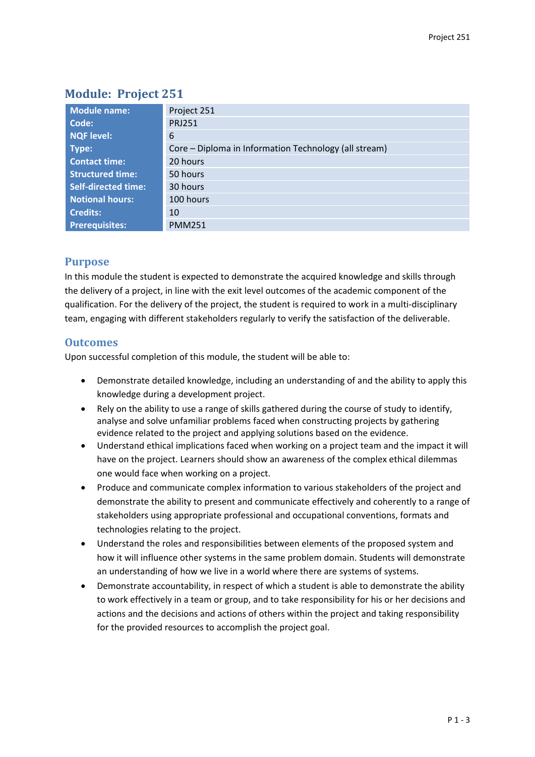# **Module: Project 251**

| <b>Module name:</b>        | Project 251                                           |
|----------------------------|-------------------------------------------------------|
| Code:                      | <b>PRJ251</b>                                         |
| NQF level:                 | 6                                                     |
| Type:                      | Core – Diploma in Information Technology (all stream) |
| <b>Contact time:</b>       | 20 hours                                              |
| <b>Structured time:</b>    | 50 hours                                              |
| <b>Self-directed time:</b> | 30 hours                                              |
| <b>Notional hours:</b>     | 100 hours                                             |
| <b>Credits:</b>            | 10                                                    |
| Prerequisites:             | <b>PMM251</b>                                         |

## **Purpose**

In this module the student is expected to demonstrate the acquired knowledge and skills through the delivery of a project, in line with the exit level outcomes of the academic component of the qualification. For the delivery of the project, the student is required to work in a multi-disciplinary team, engaging with different stakeholders regularly to verify the satisfaction of the deliverable.

### **Outcomes**

Upon successful completion of this module, the student will be able to:

- Demonstrate detailed knowledge, including an understanding of and the ability to apply this knowledge during a development project.
- Rely on the ability to use a range of skills gathered during the course of study to identify, analyse and solve unfamiliar problems faced when constructing projects by gathering evidence related to the project and applying solutions based on the evidence.
- Understand ethical implications faced when working on a project team and the impact it will have on the project. Learners should show an awareness of the complex ethical dilemmas one would face when working on a project.
- Produce and communicate complex information to various stakeholders of the project and demonstrate the ability to present and communicate effectively and coherently to a range of stakeholders using appropriate professional and occupational conventions, formats and technologies relating to the project.
- Understand the roles and responsibilities between elements of the proposed system and how it will influence other systems in the same problem domain. Students will demonstrate an understanding of how we live in a world where there are systems of systems.
- Demonstrate accountability, in respect of which a student is able to demonstrate the ability to work effectively in a team or group, and to take responsibility for his or her decisions and actions and the decisions and actions of others within the project and taking responsibility for the provided resources to accomplish the project goal.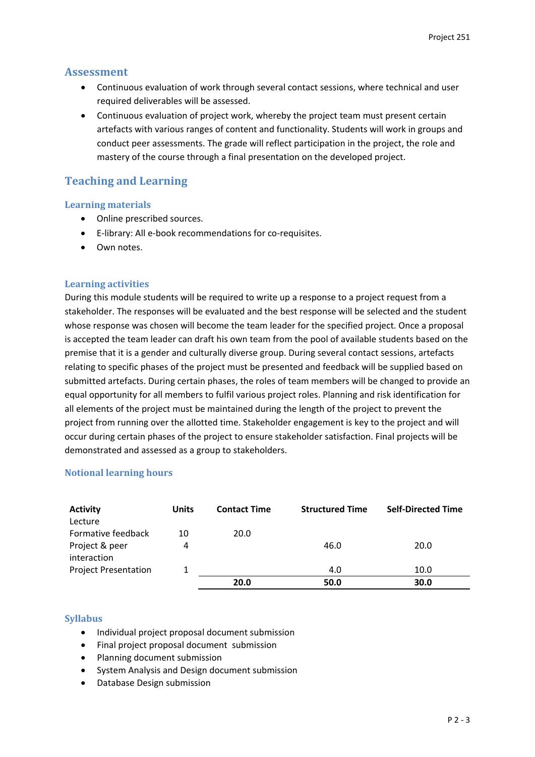### **Assessment**

- Continuous evaluation of work through several contact sessions, where technical and user required deliverables will be assessed.
- Continuous evaluation of project work, whereby the project team must present certain artefacts with various ranges of content and functionality. Students will work in groups and conduct peer assessments. The grade will reflect participation in the project, the role and mastery of the course through a final presentation on the developed project.

## **Teaching and Learning**

#### **Learning materials**

- Online prescribed sources.
- E-library: All e-book recommendations for co-requisites.
- Own notes.

#### **Learning activities**

During this module students will be required to write up a response to a project request from a stakeholder. The responses will be evaluated and the best response will be selected and the student whose response was chosen will become the team leader for the specified project. Once a proposal is accepted the team leader can draft his own team from the pool of available students based on the premise that it is a gender and culturally diverse group. During several contact sessions, artefacts relating to specific phases of the project must be presented and feedback will be supplied based on submitted artefacts. During certain phases, the roles of team members will be changed to provide an equal opportunity for all members to fulfil various project roles. Planning and risk identification for all elements of the project must be maintained during the length of the project to prevent the project from running over the allotted time. Stakeholder engagement is key to the project and will occur during certain phases of the project to ensure stakeholder satisfaction. Final projects will be demonstrated and assessed as a group to stakeholders.

### **Notional learning hours**

| <b>Activity</b>             | <b>Units</b> | <b>Contact Time</b> | <b>Structured Time</b> | <b>Self-Directed Time</b> |
|-----------------------------|--------------|---------------------|------------------------|---------------------------|
| Lecture                     |              |                     |                        |                           |
| Formative feedback          | 10           | 20.0                |                        |                           |
| Project & peer              | 4            |                     | 46.0                   | 20.0                      |
| interaction                 |              |                     |                        |                           |
| <b>Project Presentation</b> |              |                     | 4.0                    | 10.0                      |
|                             |              | 20.0                | 50.0                   | 30.0                      |

### **Syllabus**

- Individual project proposal document submission
- Final project proposal document submission
- Planning document submission
- System Analysis and Design document submission
- Database Design submission